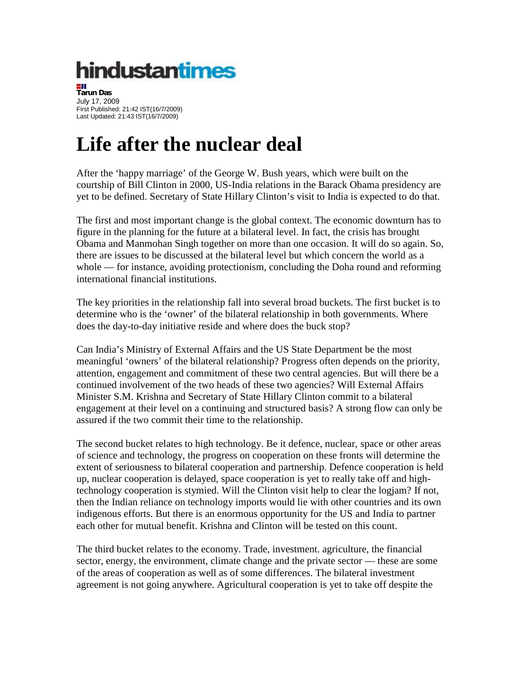## hindustantimes

**Tarun Das** July 17, 2009 First Published: 21:42 IST(16/7/2009) Last Updated: 21:43 IST(16/7/2009)

## **Life after the nuclear deal**

After the 'happy marriage' of the George W. Bush years, which were built on the courtship of Bill Clinton in 2000, US-India relations in the Barack Obama presidency are yet to be defined. Secretary of State Hillary Clinton's visit to India is expected to do that.

The first and most important change is the global context. The economic downturn has to figure in the planning for the future at a bilateral level. In fact, the crisis has brought Obama and Manmohan Singh together on more than one occasion. It will do so again. So, there are issues to be discussed at the bilateral level but which concern the world as a whole — for instance, avoiding protectionism, concluding the Doha round and reforming international financial institutions.

The key priorities in the relationship fall into several broad buckets. The first bucket is to determine who is the 'owner' of the bilateral relationship in both governments. Where does the day-to-day initiative reside and where does the buck stop?

Can India's Ministry of External Affairs and the US State Department be the most meaningful 'owners' of the bilateral relationship? Progress often depends on the priority, attention, engagement and commitment of these two central agencies. But will there be a continued involvement of the two heads of these two agencies? Will External Affairs Minister S.M. Krishna and Secretary of State Hillary Clinton commit to a bilateral engagement at their level on a continuing and structured basis? A strong flow can only be assured if the two commit their time to the relationship.

The second bucket relates to high technology. Be it defence, nuclear, space or other areas of science and technology, the progress on cooperation on these fronts will determine the extent of seriousness to bilateral cooperation and partnership. Defence cooperation is held up, nuclear cooperation is delayed, space cooperation is yet to really take off and hightechnology cooperation is stymied. Will the Clinton visit help to clear the logjam? If not, then the Indian reliance on technology imports would lie with other countries and its own indigenous efforts. But there is an enormous opportunity for the US and India to partner each other for mutual benefit. Krishna and Clinton will be tested on this count.

The third bucket relates to the economy. Trade, investment. agriculture, the financial sector, energy, the environment, climate change and the private sector — these are some of the areas of cooperation as well as of some differences. The bilateral investment agreement is not going anywhere. Agricultural cooperation is yet to take off despite the